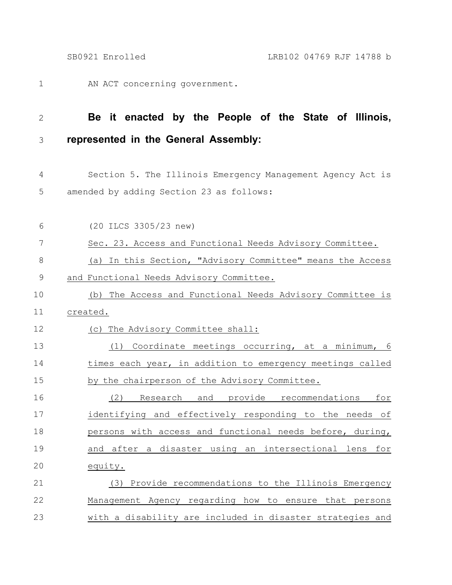AN ACT concerning government. 1

## **Be it enacted by the People of the State of Illinois, represented in the General Assembly:** 2 3

Section 5. The Illinois Emergency Management Agency Act is amended by adding Section 23 as follows: 4 5

| 6           | (20 ILCS 3305/23 new)                                      |
|-------------|------------------------------------------------------------|
| 7           | Sec. 23. Access and Functional Needs Advisory Committee.   |
| $\,8\,$     | (a) In this Section, "Advisory Committee" means the Access |
| $\mathsf 9$ | and Functional Needs Advisory Committee.                   |
| 10          | (b) The Access and Functional Needs Advisory Committee is  |
| 11          | created.                                                   |
| 12          | (c) The Advisory Committee shall:                          |
| 13          | (1) Coordinate meetings occurring, at a minimum, 6         |
| 14          | times each year, in addition to emergency meetings called  |
| 15          | by the chairperson of the Advisory Committee.              |
| 16          | Research and provide recommendations<br>(2)<br>for         |
| 17          | identifying and effectively responding to the needs of     |
| 18          | persons with access and functional needs before, during,   |
| 19          | and after a disaster using an intersectional lens for      |
| 20          | equity.                                                    |
| 21          | (3) Provide recommendations to the Illinois Emergency      |
| 22          | Management Agency regarding how to ensure that persons     |
| 23          | with a disability are included in disaster strategies and  |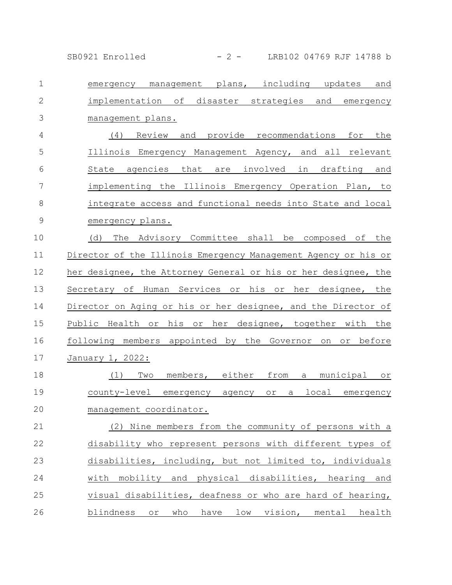SB0921 Enrolled - 2 - LRB102 04769 RJF 14788 b

| $\mathbf{1}$   | emergency management plans, including updates<br>and           |
|----------------|----------------------------------------------------------------|
| $\mathbf{2}$   | implementation of disaster strategies and emergency            |
| 3              | management plans.                                              |
| $\overline{4}$ | (4) Review and provide recommendations for the                 |
| 5              | Illinois Emergency Management Agency, and all relevant         |
| $6\,$          | State agencies that are involved in drafting and               |
| 7              | implementing the Illinois Emergency Operation Plan, to         |
| $8\,$          | integrate access and functional needs into State and local     |
| $\mathsf 9$    | emergency plans.                                               |
| 10             | The Advisory Committee shall be composed of the<br>(d)         |
| 11             | Director of the Illinois Emergency Management Agency or his or |
| 12             | her designee, the Attorney General or his or her designee, the |
| 13             | Secretary of Human Services or his or her designee, the        |
| 14             | Director on Aging or his or her designee, and the Director of  |
| 15             | Public Health or his or her designee, together with the        |
| 16             | following members appointed by the Governor on or before       |
| 17             | January 1, 2022:                                               |
| 18             | members, either from a municipal or<br>(1)<br>Two              |
| 19             | county-level emergency agency<br>or a local emergency          |
| 20             | management coordinator.                                        |
| 21             | (2) Nine members from the community of persons with a          |
| 22             | disability who represent persons with different types of       |
| 23             | disabilities, including, but not limited to, individuals       |
| 24             | with mobility and physical disabilities, hearing and           |
| 25             | visual disabilities, deafness or who are hard of hearing,      |
| 26             | blindness or who have low vision, mental health                |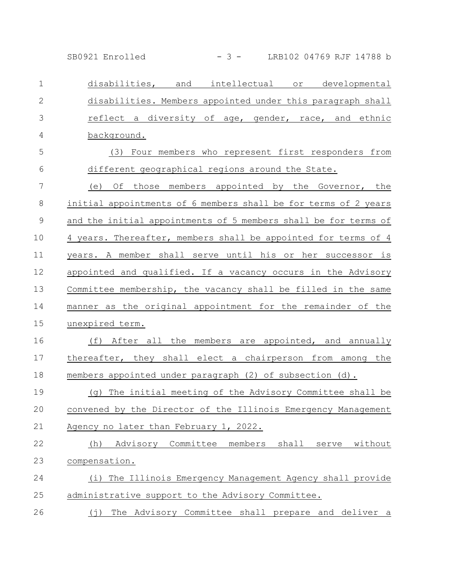SB0921 Enrolled - 3 - LRB102 04769 RJF 14788 b

disabilities, and intellectual or developmental disabilities. Members appointed under this paragraph shall reflect a diversity of age, gender, race, and ethnic background. (3) Four members who represent first responders from different geographical regions around the State. (e) Of those members appointed by the Governor, the initial appointments of 6 members shall be for terms of 2 years and the initial appointments of 5 members shall be for terms of 4 years. Thereafter, members shall be appointed for terms of 4 years. A member shall serve until his or her successor is appointed and qualified. If a vacancy occurs in the Advisory Committee membership, the vacancy shall be filled in the same manner as the original appointment for the remainder of the unexpired term. (f) After all the members are appointed, and annually thereafter, they shall elect a chairperson from among the members appointed under paragraph (2) of subsection (d). (g) The initial meeting of the Advisory Committee shall be convened by the Director of the Illinois Emergency Management Agency no later than February 1, 2022. (h) Advisory Committee members shall serve without compensation. (i) The Illinois Emergency Management Agency shall provide administrative support to the Advisory Committee. (j) The Advisory Committee shall prepare and deliver a 1 2 3 4 5 6 7 8 9 10 11 12 13 14 15 16 17 18 19 20 21 22 23 24 25 26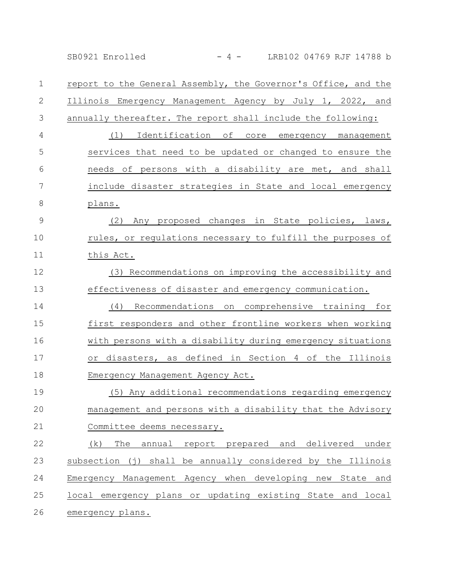SB0921 Enrolled - 4 - LRB102 04769 RJF 14788 b

report to the General Assembly, the Governor's Office, and the Illinois Emergency Management Agency by July 1, 2022, and annually thereafter. The report shall include the following: (1) Identification of core emergency management services that need to be updated or changed to ensure the needs of persons with a disability are met, and shall include disaster strategies in State and local emergency plans. (2) Any proposed changes in State policies, laws, rules, or regulations necessary to fulfill the purposes of this Act. (3) Recommendations on improving the accessibility and effectiveness of disaster and emergency communication. (4) Recommendations on comprehensive training for first responders and other frontline workers when working with persons with a disability during emergency situations or disasters, as defined in Section 4 of the Illinois Emergency Management Agency Act. (5) Any additional recommendations regarding emergency management and persons with a disability that the Advisory Committee deems necessary. (k) The annual report prepared and delivered under subsection (j) shall be annually considered by the Illinois Emergency Management Agency when developing new State and local emergency plans or updating existing State and local emergency plans. 1 2 3 4 5 6 7 8 9 10 11 12 13 14 15 16 17 18 19 20 21 22 23 24 25 26